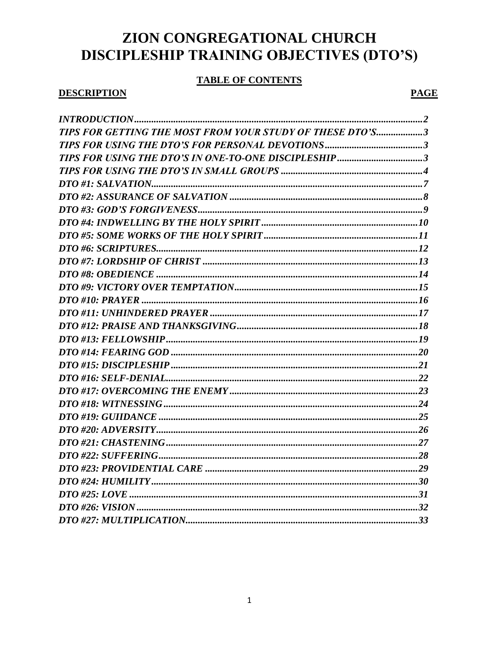# ZION CONGREGATIONAL CHURCH DISCIPLESHIP TRAINING OBJECTIVES (DTO'S)

# **TABLE OF CONTENTS**

# **DESCRIPTION**

# **PAGE**

| TIPS FOR GETTING THE MOST FROM YOUR STUDY OF THESE DTO'S3 |  |
|-----------------------------------------------------------|--|
|                                                           |  |
|                                                           |  |
|                                                           |  |
|                                                           |  |
|                                                           |  |
|                                                           |  |
|                                                           |  |
|                                                           |  |
|                                                           |  |
|                                                           |  |
|                                                           |  |
|                                                           |  |
|                                                           |  |
|                                                           |  |
|                                                           |  |
|                                                           |  |
|                                                           |  |
|                                                           |  |
|                                                           |  |
|                                                           |  |
|                                                           |  |
|                                                           |  |
|                                                           |  |
|                                                           |  |
|                                                           |  |
|                                                           |  |
|                                                           |  |
|                                                           |  |
|                                                           |  |
|                                                           |  |
|                                                           |  |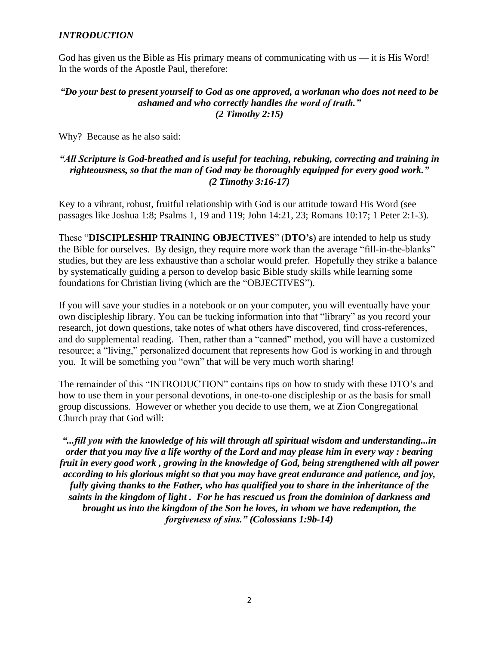#### *INTRODUCTION*

God has given us the Bible as His primary means of communicating with  $us - it$  is His Word! In the words of the Apostle Paul, therefore:

#### *"Do your best to present yourself to God as one approved, a workman who does not need to be ashamed and who correctly handles the word of truth." (2 Timothy 2:15)*

Why? Because as he also said:

## *"All Scripture is God-breathed and is useful for teaching, rebuking, correcting and training in righteousness, so that the man of God may be thoroughly equipped for every good work." (2 Timothy 3:16-17)*

Key to a vibrant, robust, fruitful relationship with God is our attitude toward His Word (see passages like Joshua 1:8; Psalms 1, 19 and 119; John 14:21, 23; Romans 10:17; 1 Peter 2:1-3).

These "**DISCIPLESHIP TRAINING OBJECTIVES**" (**DTO's**) are intended to help us study the Bible for ourselves. By design, they require more work than the average "fill-in-the-blanks" studies, but they are less exhaustive than a scholar would prefer. Hopefully they strike a balance by systematically guiding a person to develop basic Bible study skills while learning some foundations for Christian living (which are the "OBJECTIVES").

If you will save your studies in a notebook or on your computer, you will eventually have your own discipleship library. You can be tucking information into that "library" as you record your research, jot down questions, take notes of what others have discovered, find cross-references, and do supplemental reading. Then, rather than a "canned" method, you will have a customized resource; a "living," personalized document that represents how God is working in and through you. It will be something you "own" that will be very much worth sharing!

The remainder of this "INTRODUCTION" contains tips on how to study with these DTO's and how to use them in your personal devotions, in one-to-one discipleship or as the basis for small group discussions. However or whether you decide to use them, we at Zion Congregational Church pray that God will:

*"...fill you with the knowledge of his will through all spiritual wisdom and understanding...in order that you may live a life worthy of the Lord and may please him in every way : bearing fruit in every good work , growing in the knowledge of God, being strengthened with all power according to his glorious might so that you may have great endurance and patience, and joy, fully giving thanks to the Father, who has qualified you to share in the inheritance of the saints in the kingdom of light . For he has rescued us from the dominion of darkness and brought us into the kingdom of the Son he loves, in whom we have redemption, the forgiveness of sins." (Colossians 1:9b-14)*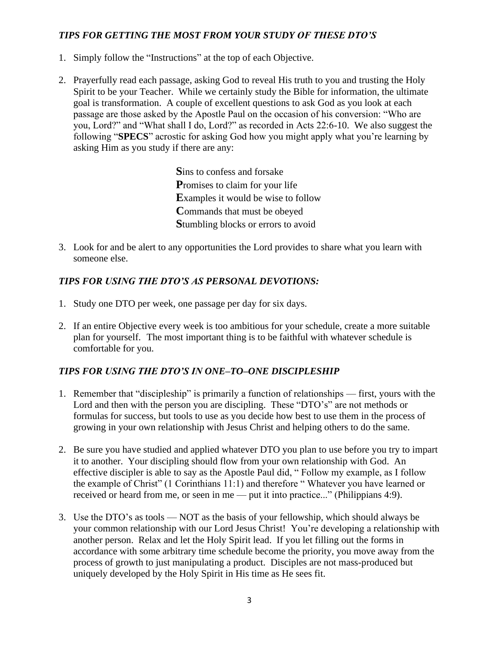# *TIPS FOR GETTING THE MOST FROM YOUR STUDY OF THESE DTO'S*

- 1. Simply follow the "Instructions" at the top of each Objective.
- 2. Prayerfully read each passage, asking God to reveal His truth to you and trusting the Holy Spirit to be your Teacher. While we certainly study the Bible for information, the ultimate goal is transformation. A couple of excellent questions to ask God as you look at each passage are those asked by the Apostle Paul on the occasion of his conversion: "Who are you, Lord?" and "What shall I do, Lord?" as recorded in Acts 22:6-10. We also suggest the following "**SPECS**" acrostic for asking God how you might apply what you're learning by asking Him as you study if there are any:

**S**ins to confess and forsake **P**romises to claim for your life **E**xamples it would be wise to follow **C**ommands that must be obeyed **S**tumbling blocks or errors to avoid

3. Look for and be alert to any opportunities the Lord provides to share what you learn with someone else.

## *TIPS FOR USING THE DTO'S AS PERSONAL DEVOTIONS:*

- 1. Study one DTO per week, one passage per day for six days.
- 2. If an entire Objective every week is too ambitious for your schedule, create a more suitable plan for yourself. The most important thing is to be faithful with whatever schedule is comfortable for you.

## *TIPS FOR USING THE DTO'S IN ONE–TO–ONE DISCIPLESHIP*

- 1. Remember that "discipleship" is primarily a function of relationships first, yours with the Lord and then with the person you are discipling. These "DTO's" are not methods or formulas for success, but tools to use as you decide how best to use them in the process of growing in your own relationship with Jesus Christ and helping others to do the same.
- 2. Be sure you have studied and applied whatever DTO you plan to use before you try to impart it to another. Your discipling should flow from your own relationship with God. An effective discipler is able to say as the Apostle Paul did, " Follow my example, as I follow the example of Christ" (1 Corinthians 11:1) and therefore " Whatever you have learned or received or heard from me, or seen in me — put it into practice..." (Philippians 4:9).
- 3. Use the DTO's as tools NOT as the basis of your fellowship, which should always be your common relationship with our Lord Jesus Christ! You're developing a relationship with another person. Relax and let the Holy Spirit lead. If you let filling out the forms in accordance with some arbitrary time schedule become the priority, you move away from the process of growth to just manipulating a product. Disciples are not mass-produced but uniquely developed by the Holy Spirit in His time as He sees fit.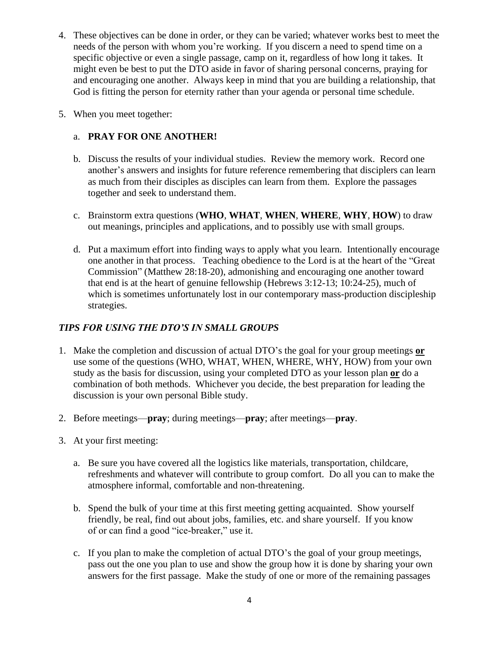- 4. These objectives can be done in order, or they can be varied; whatever works best to meet the needs of the person with whom you're working. If you discern a need to spend time on a specific objective or even a single passage, camp on it, regardless of how long it takes. It might even be best to put the DTO aside in favor of sharing personal concerns, praying for and encouraging one another. Always keep in mind that you are building a relationship, that God is fitting the person for eternity rather than your agenda or personal time schedule.
- 5. When you meet together:

# a. **PRAY FOR ONE ANOTHER!**

- b. Discuss the results of your individual studies. Review the memory work. Record one another's answers and insights for future reference remembering that disciplers can learn as much from their disciples as disciples can learn from them. Explore the passages together and seek to understand them.
- c. Brainstorm extra questions (**WHO**, **WHAT**, **WHEN**, **WHERE**, **WHY**, **HOW**) to draw out meanings, principles and applications, and to possibly use with small groups.
- d. Put a maximum effort into finding ways to apply what you learn. Intentionally encourage one another in that process. Teaching obedience to the Lord is at the heart of the "Great Commission" (Matthew 28:18-20), admonishing and encouraging one another toward that end is at the heart of genuine fellowship (Hebrews 3:12-13; 10:24-25), much of which is sometimes unfortunately lost in our contemporary mass-production discipleship strategies.

# *TIPS FOR USING THE DTO'S IN SMALL GROUPS*

- 1. Make the completion and discussion of actual DTO's the goal for your group meetings **or** use some of the questions (WHO, WHAT, WHEN, WHERE, WHY, HOW) from your own study as the basis for discussion, using your completed DTO as your lesson plan **or** do a combination of both methods. Whichever you decide, the best preparation for leading the discussion is your own personal Bible study.
- 2. Before meetings—**pray**; during meetings—**pray**; after meetings—**pray**.
- 3. At your first meeting:
	- a. Be sure you have covered all the logistics like materials, transportation, childcare, refreshments and whatever will contribute to group comfort. Do all you can to make the atmosphere informal, comfortable and non-threatening.
	- b. Spend the bulk of your time at this first meeting getting acquainted. Show yourself friendly, be real, find out about jobs, families, etc. and share yourself. If you know of or can find a good "ice-breaker," use it.
	- c. If you plan to make the completion of actual DTO's the goal of your group meetings, pass out the one you plan to use and show the group how it is done by sharing your own answers for the first passage. Make the study of one or more of the remaining passages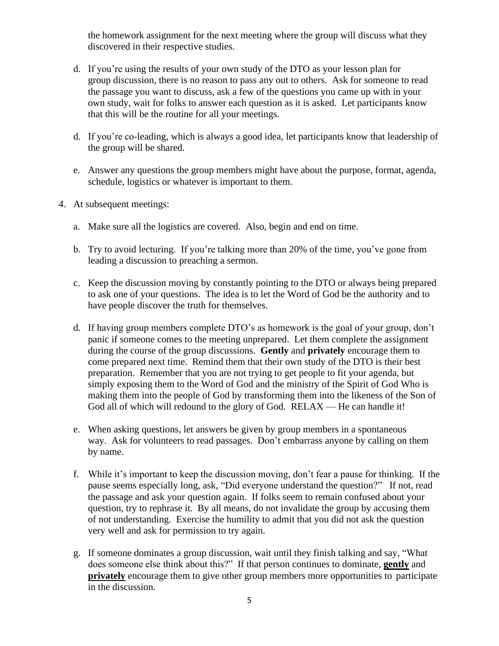the homework assignment for the next meeting where the group will discuss what they discovered in their respective studies.

- d. If you're using the results of your own study of the DTO as your lesson plan for group discussion, there is no reason to pass any out to others. Ask for someone to read the passage you want to discuss, ask a few of the questions you came up with in your own study, wait for folks to answer each question as it is asked. Let participants know that this will be the routine for all your meetings.
- d. If you're co-leading, which is always a good idea, let participants know that leadership of the group will be shared.
- e. Answer any questions the group members might have about the purpose, format, agenda, schedule, logistics or whatever is important to them.
- 4. At subsequent meetings:
	- a. Make sure all the logistics are covered. Also, begin and end on time.
	- b. Try to avoid lecturing. If you're talking more than 20% of the time, you've gone from leading a discussion to preaching a sermon.
	- c. Keep the discussion moving by constantly pointing to the DTO or always being prepared to ask one of your questions. The idea is to let the Word of God be the authority and to have people discover the truth for themselves.
	- d. If having group members complete DTO's as homework is the goal of your group, don't panic if someone comes to the meeting unprepared. Let them complete the assignment during the course of the group discussions. **Gently** and **privately** encourage them to come prepared next time. Remind them that their own study of the DTO is their best preparation. Remember that you are not trying to get people to fit your agenda, but simply exposing them to the Word of God and the ministry of the Spirit of God Who is making them into the people of God by transforming them into the likeness of the Son of God all of which will redound to the glory of God. RELAX — He can handle it!
	- e. When asking questions, let answers be given by group members in a spontaneous way. Ask for volunteers to read passages. Don't embarrass anyone by calling on them by name.
	- f. While it's important to keep the discussion moving, don't fear a pause for thinking. If the pause seems especially long, ask, "Did everyone understand the question?" If not, read the passage and ask your question again. If folks seem to remain confused about your question, try to rephrase it. By all means, do not invalidate the group by accusing them of not understanding. Exercise the humility to admit that you did not ask the question very well and ask for permission to try again.
	- g. If someone dominates a group discussion, wait until they finish talking and say, "What does someone else think about this?" If that person continues to dominate, **gently** and **privately** encourage them to give other group members more opportunities to participate in the discussion.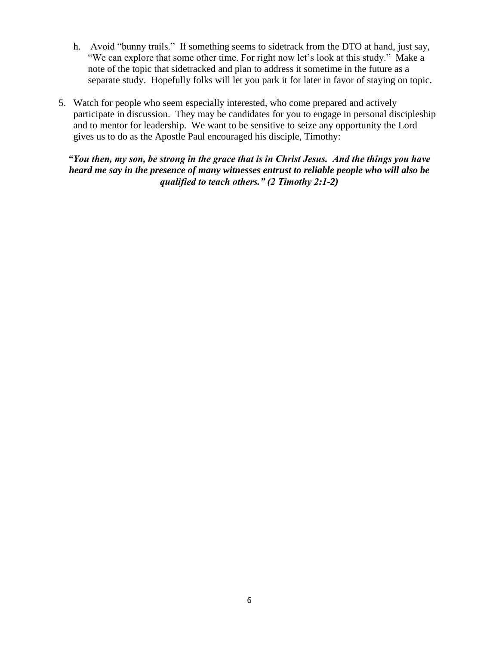- h. Avoid "bunny trails." If something seems to sidetrack from the DTO at hand, just say, "We can explore that some other time. For right now let's look at this study." Make a note of the topic that sidetracked and plan to address it sometime in the future as a separate study. Hopefully folks will let you park it for later in favor of staying on topic.
- 5. Watch for people who seem especially interested, who come prepared and actively participate in discussion. They may be candidates for you to engage in personal discipleship and to mentor for leadership. We want to be sensitive to seize any opportunity the Lord gives us to do as the Apostle Paul encouraged his disciple, Timothy:

*"You then, my son, be strong in the grace that is in Christ Jesus. And the things you have heard me say in the presence of many witnesses entrust to reliable people who will also be qualified to teach others." (2 Timothy 2:1-2)*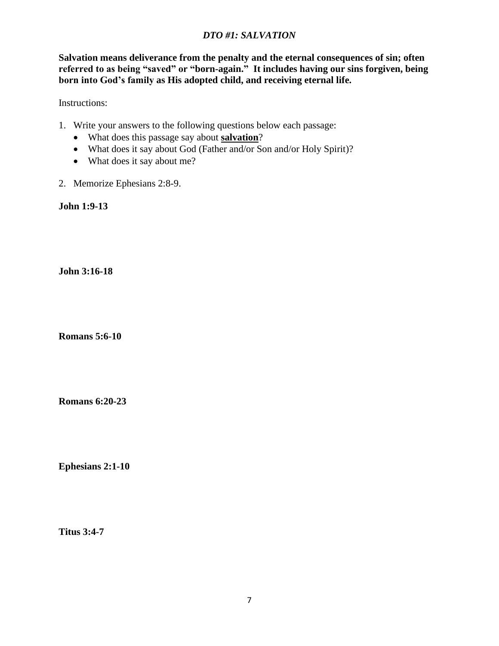## *DTO #1: SALVATION*

**Salvation means deliverance from the penalty and the eternal consequences of sin; often referred to as being "saved" or "born-again." It includes having our sins forgiven, being born into God's family as His adopted child, and receiving eternal life.**

Instructions:

- 1. Write your answers to the following questions below each passage:
	- What does this passage say about **salvation**?
	- What does it say about God (Father and/or Son and/or Holy Spirit)?
	- What does it say about me?
- 2. Memorize Ephesians 2:8-9.

**John 1:9-13**

**John 3:16-18**

**Romans 5:6-10**

**Romans 6:20-23**

**Ephesians 2:1-10**

**Titus 3:4-7**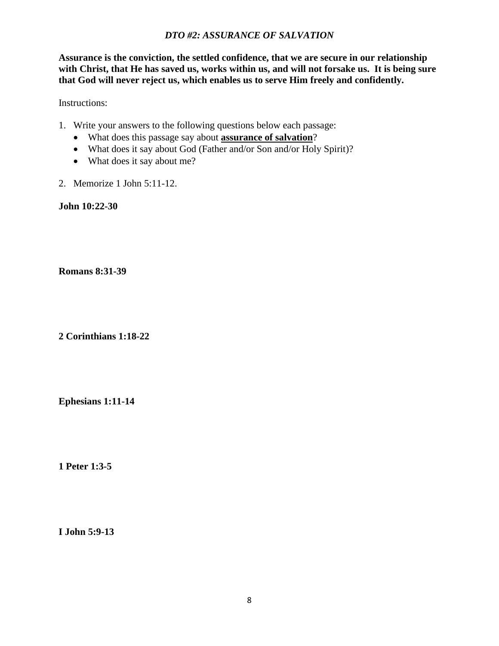#### *DTO #2: ASSURANCE OF SALVATION*

**Assurance is the conviction, the settled confidence, that we are secure in our relationship with Christ, that He has saved us, works within us, and will not forsake us. It is being sure that God will never reject us, which enables us to serve Him freely and confidently.**

Instructions:

- 1. Write your answers to the following questions below each passage:
	- What does this passage say about **assurance of salvation**?
	- What does it say about God (Father and/or Son and/or Holy Spirit)?
	- What does it say about me?
- 2. Memorize 1 John 5:11-12.

**John 10:22-30**

**Romans 8:31-39**

**2 Corinthians 1:18-22**

**Ephesians 1:11-14**

**1 Peter 1:3-5**

**I John 5:9-13**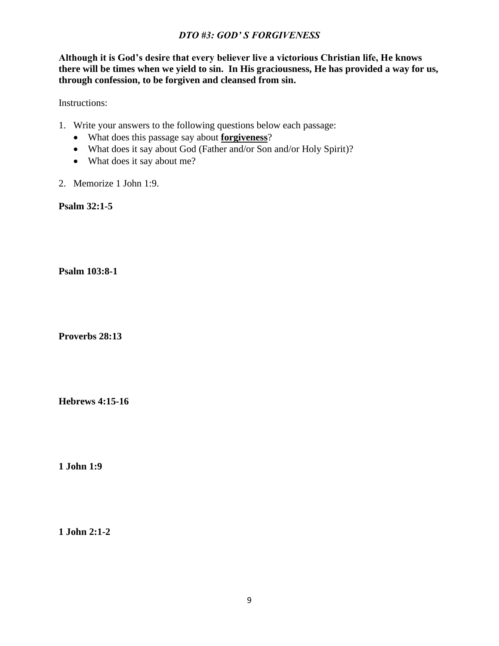#### *DTO #3: GOD' S FORGIVENESS*

**Although it is God's desire that every believer live a victorious Christian life, He knows there will be times when we yield to sin. In His graciousness, He has provided a way for us, through confession, to be forgiven and cleansed from sin.**

Instructions:

- 1. Write your answers to the following questions below each passage:
	- What does this passage say about **forgiveness**?
	- What does it say about God (Father and/or Son and/or Holy Spirit)?
	- What does it say about me?
- 2. Memorize 1 John 1:9.

**Psalm 32:1-5**

**Psalm 103:8-1**

**Proverbs 28:13**

**Hebrews 4:15-16**

**1 John 1:9**

**1 John 2:1-2**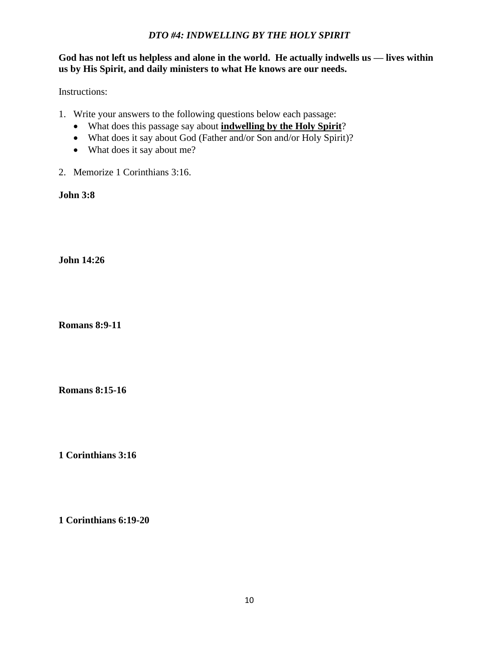#### *DTO #4: INDWELLING BY THE HOLY SPIRIT*

**God has not left us helpless and alone in the world. He actually indwells us — lives within us by His Spirit, and daily ministers to what He knows are our needs.**

Instructions:

- 1. Write your answers to the following questions below each passage:
	- What does this passage say about **indwelling by the Holy Spirit**?
	- What does it say about God (Father and/or Son and/or Holy Spirit)?
	- What does it say about me?
- 2. Memorize 1 Corinthians 3:16.

**John 3:8**

**John 14:26**

**Romans 8:9-11**

**Romans 8:15-16**

**1 Corinthians 3:16**

**1 Corinthians 6:19-20**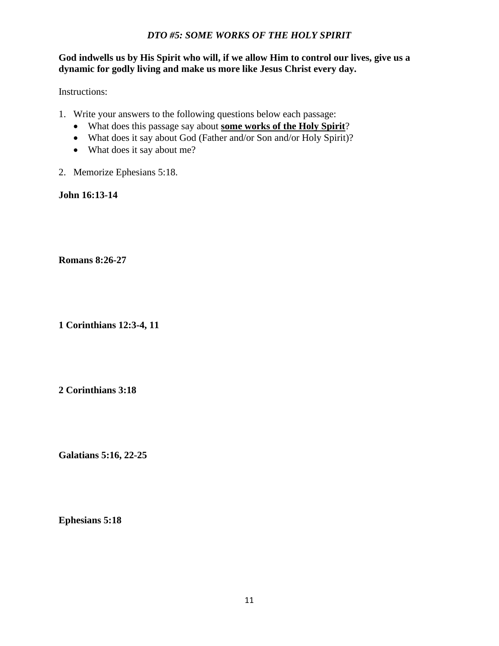#### *DTO #5: SOME WORKS OF THE HOLY SPIRIT*

#### **God indwells us by His Spirit who will, if we allow Him to control our lives, give us a dynamic for godly living and make us more like Jesus Christ every day.**

#### Instructions:

- 1. Write your answers to the following questions below each passage:
	- What does this passage say about **some works of the Holy Spirit**?
	- What does it say about God (Father and/or Son and/or Holy Spirit)?
	- What does it say about me?
- 2. Memorize Ephesians 5:18.

**John 16:13-14**

#### **Romans 8:26-27**

**1 Corinthians 12:3-4, 11**

**2 Corinthians 3:18**

**Galatians 5:16, 22-25**

**Ephesians 5:18**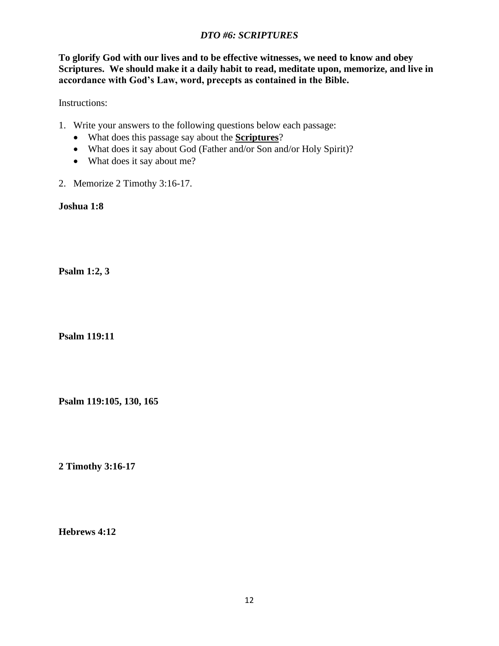## *DTO #6: SCRIPTURES*

**To glorify God with our lives and to be effective witnesses, we need to know and obey Scriptures. We should make it a daily habit to read, meditate upon, memorize, and live in accordance with God's Law, word, precepts as contained in the Bible.**

Instructions:

- 1. Write your answers to the following questions below each passage:
	- What does this passage say about the **Scriptures**?
	- What does it say about God (Father and/or Son and/or Holy Spirit)?
	- What does it say about me?
- 2. Memorize 2 Timothy 3:16-17.

**Joshua 1:8**

**Psalm 1:2, 3**

**Psalm 119:11**

**Psalm 119:105, 130, 165**

**2 Timothy 3:16-17**

**Hebrews 4:12**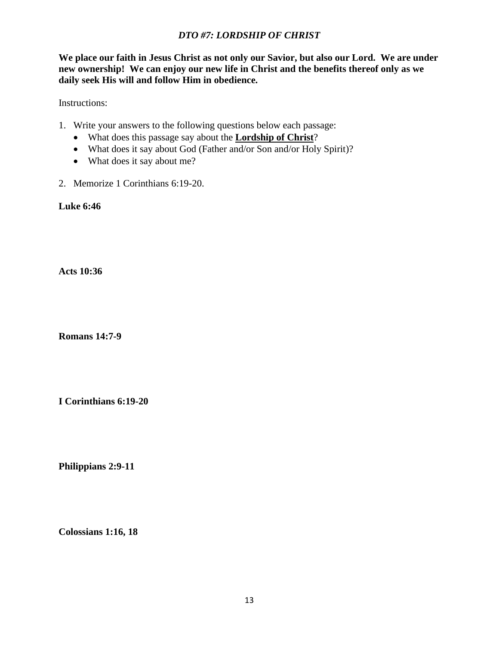## *DTO #7: LORDSHIP OF CHRIST*

**We place our faith in Jesus Christ as not only our Savior, but also our Lord. We are under new ownership! We can enjoy our new life in Christ and the benefits thereof only as we daily seek His will and follow Him in obedience.**

Instructions:

- 1. Write your answers to the following questions below each passage:
	- What does this passage say about the **Lordship of Christ**?
	- What does it say about God (Father and/or Son and/or Holy Spirit)?
	- What does it say about me?
- 2. Memorize 1 Corinthians 6:19-20.

**Luke 6:46**

**Acts 10:36**

**Romans 14:7-9**

**I Corinthians 6:19-20**

**Philippians 2:9-11**

**Colossians 1:16, 18**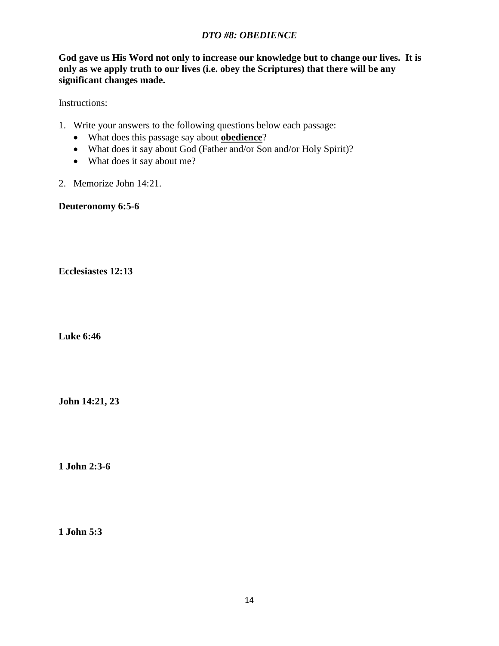## *DTO #8: OBEDIENCE*

**God gave us His Word not only to increase our knowledge but to change our lives. It is only as we apply truth to our lives (i.e. obey the Scriptures) that there will be any significant changes made.**

Instructions:

- 1. Write your answers to the following questions below each passage:
	- What does this passage say about **obedience**?
	- What does it say about God (Father and/or Son and/or Holy Spirit)?
	- What does it say about me?
- 2. Memorize John 14:21.

**Deuteronomy 6:5-6**

**Ecclesiastes 12:13**

**Luke 6:46**

**John 14:21, 23**

**1 John 2:3-6**

**1 John 5:3**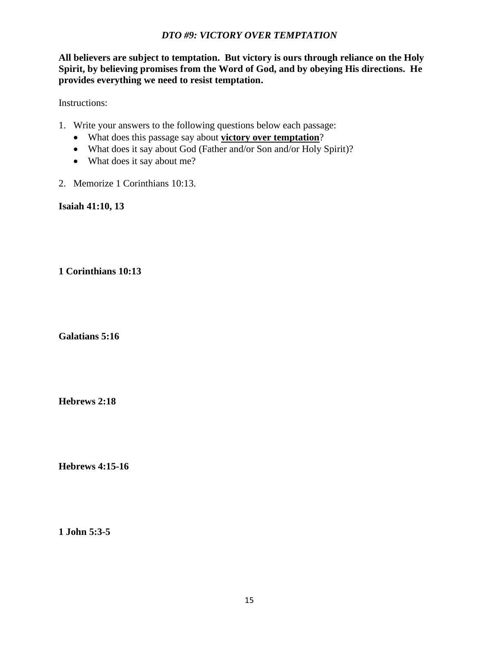#### *DTO #9: VICTORY OVER TEMPTATION*

**All believers are subject to temptation. But victory is ours through reliance on the Holy Spirit, by believing promises from the Word of God, and by obeying His directions. He provides everything we need to resist temptation.**

Instructions:

- 1. Write your answers to the following questions below each passage:
	- What does this passage say about **victory over temptation**?
	- What does it say about God (Father and/or Son and/or Holy Spirit)?
	- What does it say about me?
- 2. Memorize 1 Corinthians 10:13.

**Isaiah 41:10, 13**

**1 Corinthians 10:13**

**Galatians 5:16**

**Hebrews 2:18**

**Hebrews 4:15-16**

**1 John 5:3-5**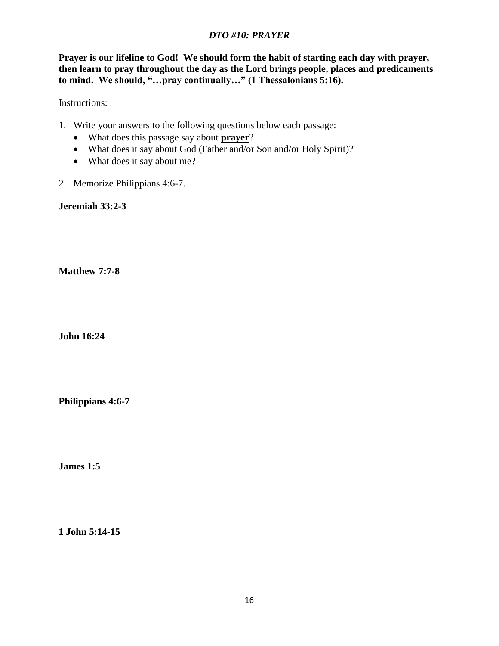## *DTO #10: PRAYER*

**Prayer is our lifeline to God! We should form the habit of starting each day with prayer, then learn to pray throughout the day as the Lord brings people, places and predicaments to mind. We should, "…pray continually…" (1 Thessalonians 5:16).**

Instructions:

- 1. Write your answers to the following questions below each passage:
	- What does this passage say about **prayer**?
	- What does it say about God (Father and/or Son and/or Holy Spirit)?
	- What does it say about me?
- 2. Memorize Philippians 4:6-7.

**Jeremiah 33:2-3**

**Matthew 7:7-8**

**John 16:24**

**Philippians 4:6-7**

**James 1:5**

**1 John 5:14-15**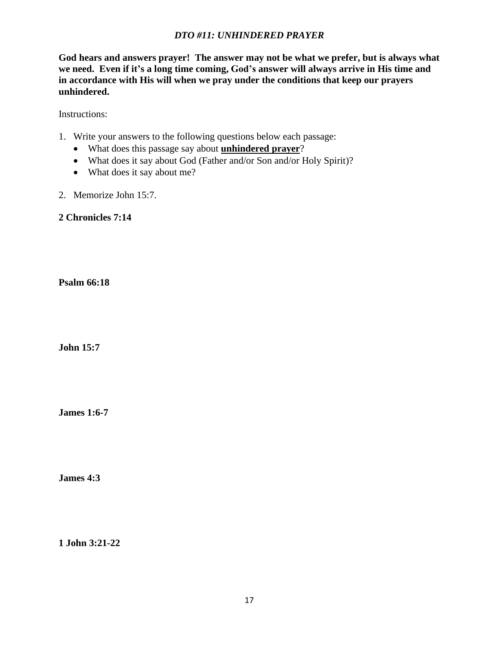## *DTO #11: UNHINDERED PRAYER*

**God hears and answers prayer! The answer may not be what we prefer, but is always what we need. Even if it's a long time coming, God's answer will always arrive in His time and in accordance with His will when we pray under the conditions that keep our prayers unhindered.** 

Instructions:

- 1. Write your answers to the following questions below each passage:
	- What does this passage say about **unhindered prayer**?
	- What does it say about God (Father and/or Son and/or Holy Spirit)?
	- What does it say about me?
- 2. Memorize John 15:7.

**2 Chronicles 7:14**

**Psalm 66:18**

**John 15:7**

**James 1:6-7**

**James 4:3**

**1 John 3:21-22**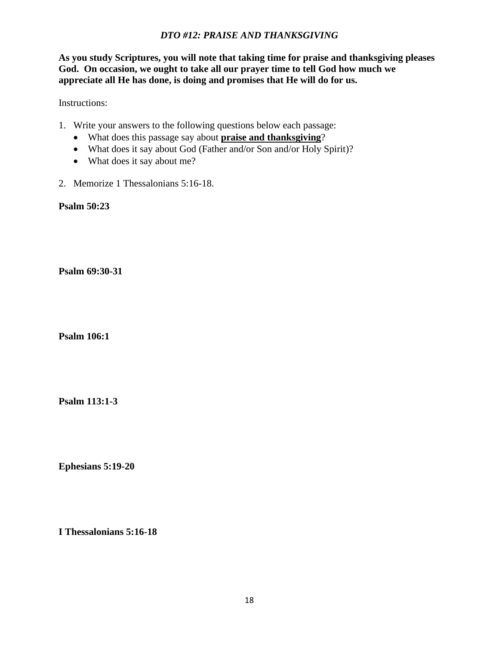## *DTO #12: PRAISE AND THANKSGIVING*

**As you study Scriptures, you will note that taking time for praise and thanksgiving pleases God. On occasion, we ought to take all our prayer time to tell God how much we appreciate all He has done, is doing and promises that He will do for us.**

Instructions:

- 1. Write your answers to the following questions below each passage:
	- What does this passage say about **praise and thanksgiving**?
	- What does it say about God (Father and/or Son and/or Holy Spirit)?
	- What does it say about me?
- 2. Memorize 1 Thessalonians 5:16-18.

**Psalm 50:23**

**Psalm 69:30-31**

**Psalm 106:1**

**Psalm 113:1-3**

**Ephesians 5:19-20**

**I Thessalonians 5:16-18**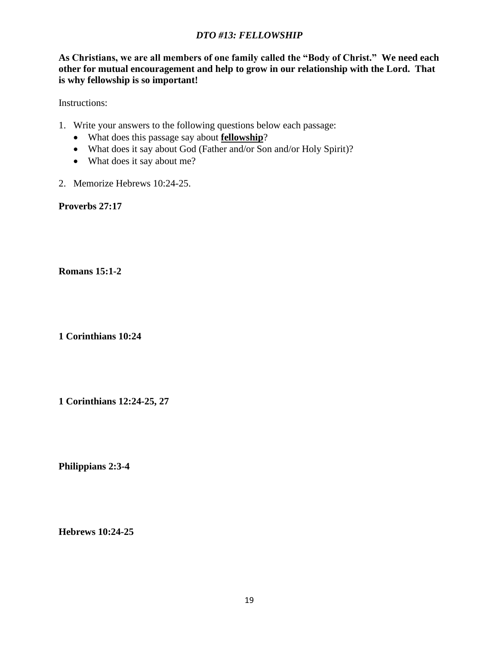## *DTO #13: FELLOWSHIP*

**As Christians, we are all members of one family called the "Body of Christ." We need each other for mutual encouragement and help to grow in our relationship with the Lord. That is why fellowship is so important!**

Instructions:

- 1. Write your answers to the following questions below each passage:
	- What does this passage say about **fellowship**?
	- What does it say about God (Father and/or Son and/or Holy Spirit)?
	- What does it say about me?
- 2. Memorize Hebrews 10:24-25.

**Proverbs 27:17**

**Romans 15:1-2**

**1 Corinthians 10:24**

**1 Corinthians 12:24-25, 27**

**Philippians 2:3-4**

**Hebrews 10:24-25**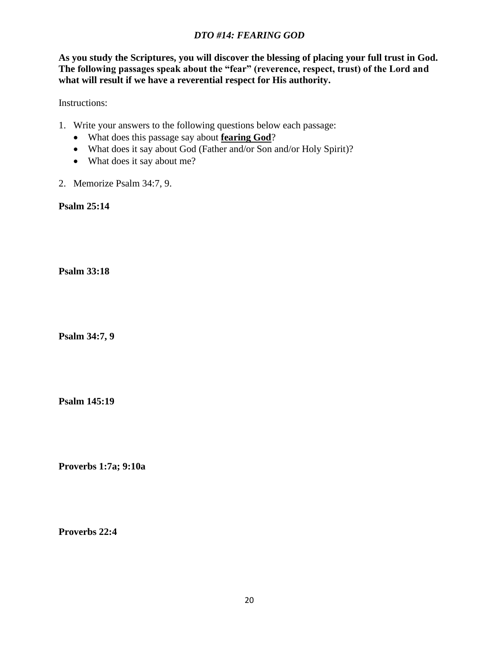## *DTO #14: FEARING GOD*

**As you study the Scriptures, you will discover the blessing of placing your full trust in God. The following passages speak about the "fear" (reverence, respect, trust) of the Lord and what will result if we have a reverential respect for His authority.**

Instructions:

- 1. Write your answers to the following questions below each passage:
	- What does this passage say about **fearing God**?
	- What does it say about God (Father and/or Son and/or Holy Spirit)?
	- What does it say about me?
- 2. Memorize Psalm 34:7, 9.

**Psalm 25:14**

**Psalm 33:18**

**Psalm 34:7, 9**

**Psalm 145:19**

**Proverbs 1:7a; 9:10a**

**Proverbs 22:4**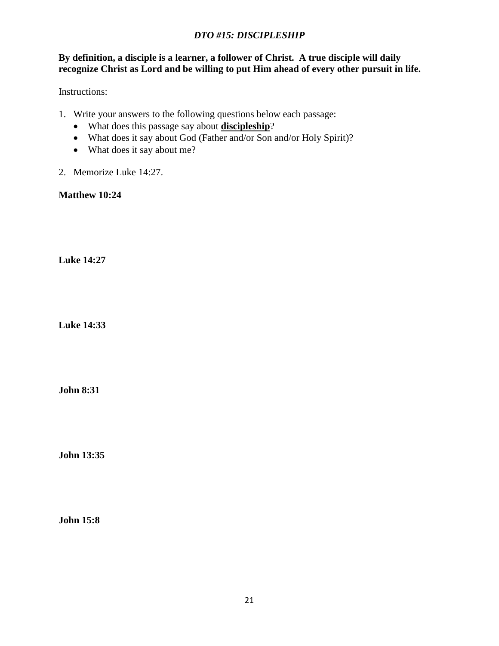# *DTO #15: DISCIPLESHIP*

#### **By definition, a disciple is a learner, a follower of Christ. A true disciple will daily recognize Christ as Lord and be willing to put Him ahead of every other pursuit in life.**

Instructions:

- 1. Write your answers to the following questions below each passage:
	- What does this passage say about **discipleship**?
	- What does it say about God (Father and/or Son and/or Holy Spirit)?
	- What does it say about me?
- 2. Memorize Luke 14:27.

**Matthew 10:24**

**Luke 14:27**

**Luke 14:33**

**John 8:31**

**John 13:35**

**John 15:8**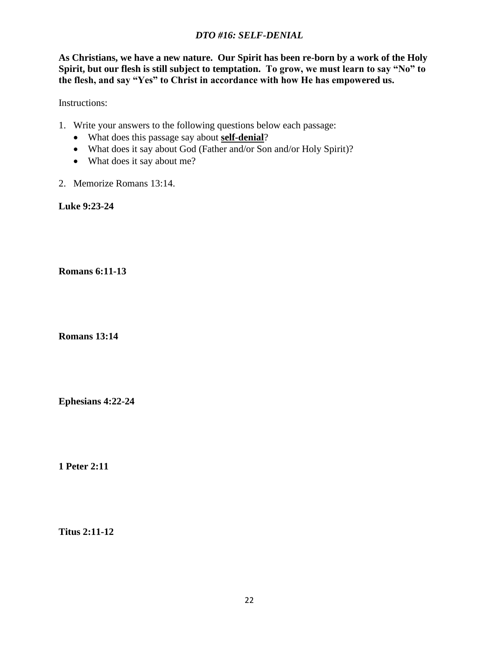## *DTO #16: SELF-DENIAL*

**As Christians, we have a new nature. Our Spirit has been re-born by a work of the Holy Spirit, but our flesh is still subject to temptation. To grow, we must learn to say "No" to the flesh, and say "Yes" to Christ in accordance with how He has empowered us.**

Instructions:

- 1. Write your answers to the following questions below each passage:
	- What does this passage say about **self-denial**?
	- What does it say about God (Father and/or Son and/or Holy Spirit)?
	- What does it say about me?
- 2. Memorize Romans 13:14.

**Luke 9:23-24**

**Romans 6:11-13**

**Romans 13:14**

**Ephesians 4:22-24**

**1 Peter 2:11**

**Titus 2:11-12**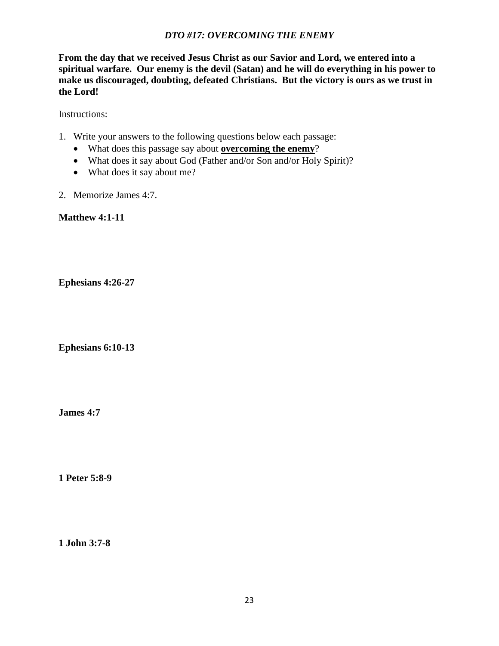## *DTO #17: OVERCOMING THE ENEMY*

**From the day that we received Jesus Christ as our Savior and Lord, we entered into a spiritual warfare. Our enemy is the devil (Satan) and he will do everything in his power to make us discouraged, doubting, defeated Christians. But the victory is ours as we trust in the Lord!**

Instructions:

- 1. Write your answers to the following questions below each passage:
	- What does this passage say about **overcoming the enemy**?
	- What does it say about God (Father and/or Son and/or Holy Spirit)?
	- What does it say about me?
- 2. Memorize James 4:7.

**Matthew 4:1-11**

**Ephesians 4:26-27**

**Ephesians 6:10-13**

**James 4:7**

**1 Peter 5:8-9**

**1 John 3:7-8**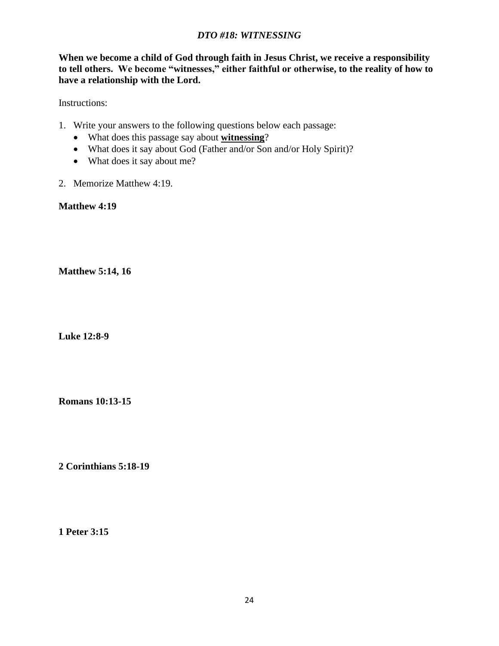#### *DTO #18: WITNESSING*

**When we become a child of God through faith in Jesus Christ, we receive a responsibility to tell others. We become "witnesses," either faithful or otherwise, to the reality of how to have a relationship with the Lord.**

Instructions:

- 1. Write your answers to the following questions below each passage:
	- What does this passage say about **witnessing**?
	- What does it say about God (Father and/or Son and/or Holy Spirit)?
	- What does it say about me?
- 2. Memorize Matthew 4:19.

**Matthew 4:19**

**Matthew 5:14, 16**

**Luke 12:8-9**

**Romans 10:13-15**

**2 Corinthians 5:18-19**

**1 Peter 3:15**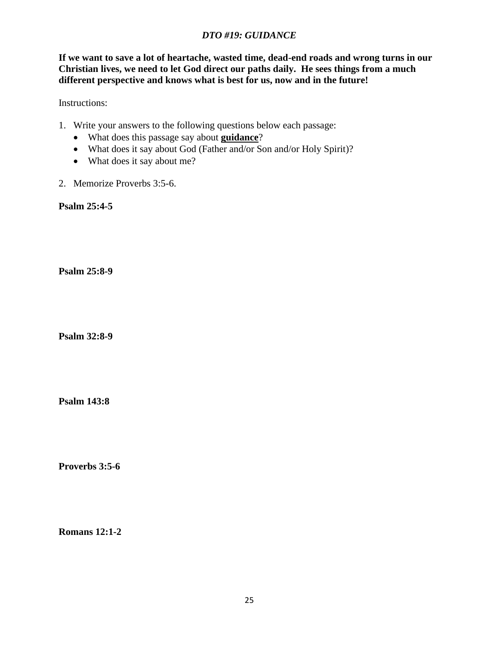## *DTO #19: GUIDANCE*

**If we want to save a lot of heartache, wasted time, dead-end roads and wrong turns in our Christian lives, we need to let God direct our paths daily. He sees things from a much different perspective and knows what is best for us, now and in the future!**

Instructions:

- 1. Write your answers to the following questions below each passage:
	- What does this passage say about **guidance**?
	- What does it say about God (Father and/or Son and/or Holy Spirit)?
	- What does it say about me?
- 2. Memorize Proverbs 3:5-6.

**Psalm 25:4-5**

**Psalm 25:8-9**

**Psalm 32:8-9**

**Psalm 143:8**

**Proverbs 3:5-6**

**Romans 12:1-2**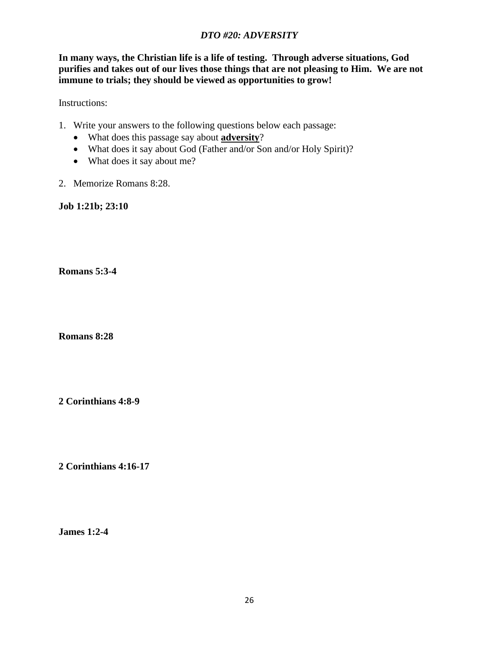## *DTO #20: ADVERSITY*

**In many ways, the Christian life is a life of testing. Through adverse situations, God purifies and takes out of our lives those things that are not pleasing to Him. We are not immune to trials; they should be viewed as opportunities to grow!**

Instructions:

- 1. Write your answers to the following questions below each passage:
	- What does this passage say about **adversity**?
	- What does it say about God (Father and/or Son and/or Holy Spirit)?
	- What does it say about me?
- 2. Memorize Romans 8:28.

**Job 1:21b; 23:10**

**Romans 5:3-4**

**Romans 8:28**

**2 Corinthians 4:8-9**

**2 Corinthians 4:16-17**

**James 1:2-4**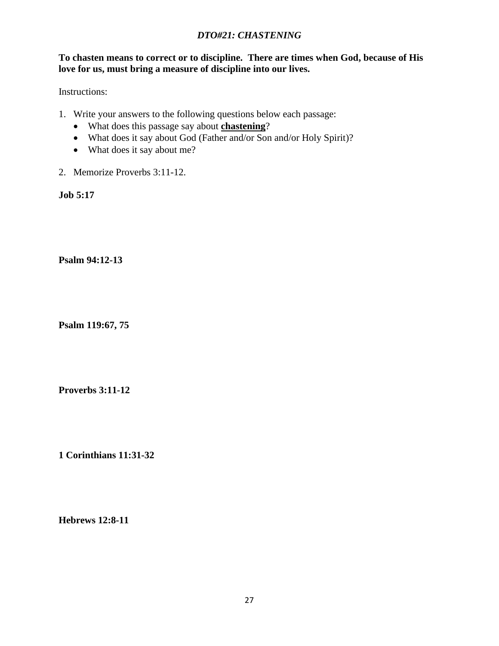## *DTO#21: CHASTENING*

#### **To chasten means to correct or to discipline. There are times when God, because of His love for us, must bring a measure of discipline into our lives.**

Instructions:

- 1. Write your answers to the following questions below each passage:
	- What does this passage say about **chastening**?
	- What does it say about God (Father and/or Son and/or Holy Spirit)?
	- What does it say about me?
- 2. Memorize Proverbs 3:11-12.

**Job 5:17**

**Psalm 94:12-13**

**Psalm 119:67, 75**

**Proverbs 3:11-12**

**1 Corinthians 11:31-32**

**Hebrews 12:8-11**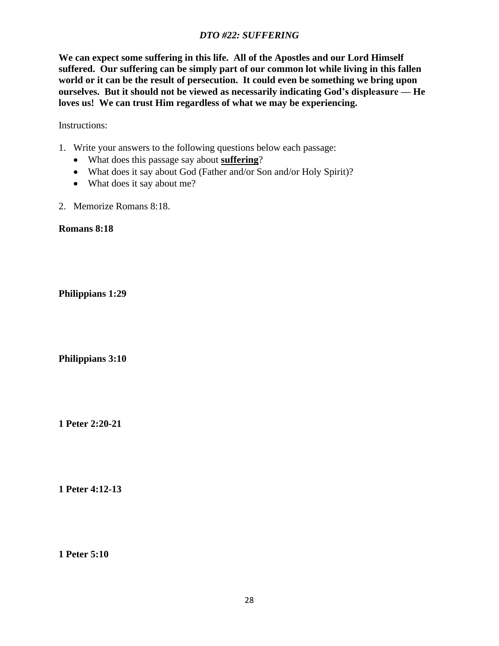## *DTO #22: SUFFERING*

**We can expect some suffering in this life. All of the Apostles and our Lord Himself suffered. Our suffering can be simply part of our common lot while living in this fallen world or it can be the result of persecution. It could even be something we bring upon ourselves. But it should not be viewed as necessarily indicating God's displeasure — He loves us! We can trust Him regardless of what we may be experiencing.**

Instructions:

- 1. Write your answers to the following questions below each passage:
	- What does this passage say about **suffering**?
	- What does it say about God (Father and/or Son and/or Holy Spirit)?
	- What does it say about me?
- 2. Memorize Romans 8:18.

**Romans 8:18**

**Philippians 1:29**

**Philippians 3:10**

**1 Peter 2:20-21**

**1 Peter 4:12-13**

**1 Peter 5:10**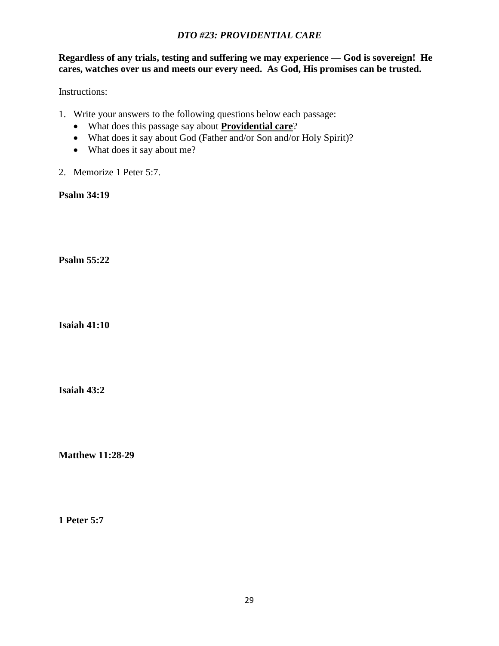## *DTO #23: PROVIDENTIAL CARE*

**Regardless of any trials, testing and suffering we may experience — God is sovereign! He cares, watches over us and meets our every need. As God, His promises can be trusted.**

Instructions:

- 1. Write your answers to the following questions below each passage:
	- What does this passage say about **Providential care**?
	- What does it say about God (Father and/or Son and/or Holy Spirit)?
	- What does it say about me?
- 2. Memorize 1 Peter 5:7.

**Psalm 34:19**

**Psalm 55:22**

**Isaiah 41:10**

**Isaiah 43:2**

**Matthew 11:28-29**

**1 Peter 5:7**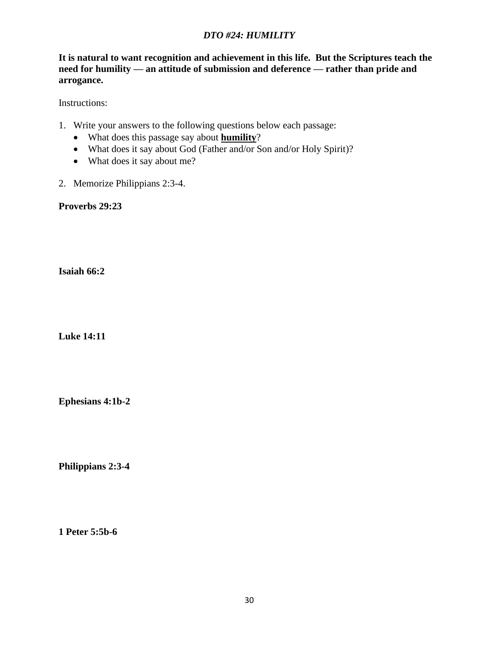# *DTO #24: HUMILITY*

**It is natural to want recognition and achievement in this life. But the Scriptures teach the need for humility — an attitude of submission and deference — rather than pride and arrogance.**

Instructions:

- 1. Write your answers to the following questions below each passage:
	- What does this passage say about **humility**?
	- What does it say about God (Father and/or Son and/or Holy Spirit)?
	- What does it say about me?
- 2. Memorize Philippians 2:3-4.

**Proverbs 29:23**

**Isaiah 66:2**

**Luke 14:11**

**Ephesians 4:1b-2**

**Philippians 2:3-4**

**1 Peter 5:5b-6**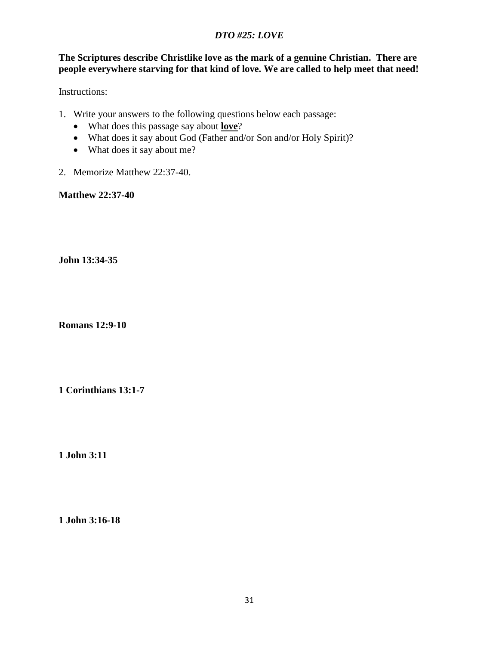# *DTO #25: LOVE*

## **The Scriptures describe Christlike love as the mark of a genuine Christian. There are people everywhere starving for that kind of love. We are called to help meet that need!**

Instructions:

- 1. Write your answers to the following questions below each passage:
	- What does this passage say about **love**?
	- What does it say about God (Father and/or Son and/or Holy Spirit)?
	- What does it say about me?
- 2. Memorize Matthew 22:37-40.

**Matthew 22:37-40**

**John 13:34-35**

**Romans 12:9-10** 

**1 Corinthians 13:1-7**

**1 John 3:11**

**1 John 3:16-18**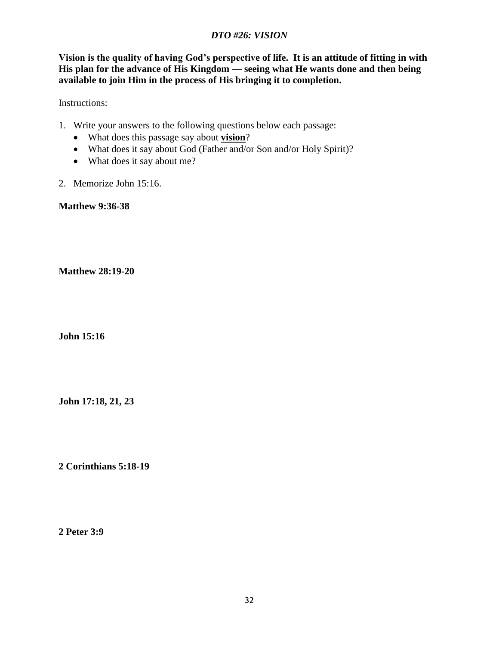## *DTO #26: VISION*

**Vision is the quality of having God's perspective of life. It is an attitude of fitting in with His plan for the advance of His Kingdom — seeing what He wants done and then being available to join Him in the process of His bringing it to completion.**

Instructions:

- 1. Write your answers to the following questions below each passage:
	- What does this passage say about **vision**?
	- What does it say about God (Father and/or Son and/or Holy Spirit)?
	- What does it say about me?
- 2. Memorize John 15:16.

**Matthew 9:36-38**

**Matthew 28:19-20**

**John 15:16**

**John 17:18, 21, 23**

**2 Corinthians 5:18-19**

**2 Peter 3:9**